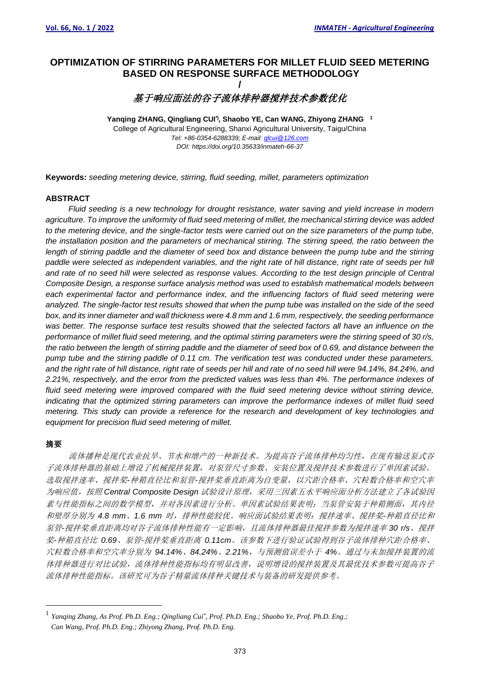# **OPTIMIZATION OF STIRRING PARAMETERS FOR MILLET FLUID SEED METERING BASED ON RESPONSE SURFACE METHODOLOGY**

**/**

基于响应面法的谷子流体排种器搅拌技术参数优化

**Yanqing ZHANG, Qingliang CUI\*) , Shaobo YE, Can WANG, Zhiyong ZHANG 1** College of Agricultural Engineering, Shanxi Agricultural University, Taigu/China *Tel: +86-0354-6288339; E-mail[: qlcui@126.com](mailto:qlcui@126.com) DOI: https://doi.org/10.35633/inmateh-66-37*

**Keywords:** *seeding metering device, stirring, fluid seeding, millet, parameters optimization*

#### **ABSTRACT**

*Fluid seeding is a new technology for drought resistance, water saving and yield increase in modern agriculture. To improve the uniformity of fluid seed metering of millet, the mechanical stirring device was added to the metering device, and the single-factor tests were carried out on the size parameters of the pump tube, the installation position and the parameters of mechanical stirring. The stirring speed, the ratio between the*  length of stirring paddle and the diameter of seed box and distance between the pump tube and the stirring *paddle were selected as independent variables, and the right rate of hill distance, right rate of seeds per hill and rate of no seed hill were selected as response values. According to the test design principle of Central Composite Design, a response surface analysis method was used to establish mathematical models between each experimental factor and performance index, and the influencing factors of fluid seed metering were analyzed. The single-factor test results showed that when the pump tube was installed on the side of the seed box, and its inner diameter and wall thickness were 4.8 mm and 1.6 mm, respectively, the seeding performance was better. The response surface test results showed that the selected factors all have an influence on the performance of millet fluid seed metering, and the optimal stirring parameters were the stirring speed of 30 r/s, the ratio between the length of stirring paddle and the diameter of seed box of 0.69, and distance between the pump tube and the stirring paddle of 0.11 cm. The verification test was conducted under these parameters, and the right rate of hill distance, right rate of seeds per hill and rate of no seed hill were 94.14%, 84.24%, and 2.21%, respectively, and the error from the predicted values was less than 4%. The performance indexes of*  fluid seed metering were improved compared with the fluid seed metering device without stirring device, *indicating that the optimized stirring parameters can improve the performance indexes of millet fluid seed metering. This study can provide a reference for the research and development of key technologies and equipment for precision fluid seed metering of millet.*

# 摘要

流体播种是现代农业抗旱、节水和增产的一种新技术。为提高谷子流体排种均匀性,在现有输送泵式谷 子流体排种器的基础上增设了机械搅拌装置,对泵管尺寸参数、安装位置及搅拌技术参数进行了单因素试验。 选取搅拌速率、搅拌桨*-*种箱直径比和泵管*-*搅拌桨垂直距离为自变量,以穴距合格率、穴粒数合格率和空穴率 为响应值,按照 *Central Composite Design* 试验设计原理,采用三因素五水平响应面分析方法建立了各试验因 素与性能指标之间的数学模型,并对各因素进行分析。单因素试验结果表明:当泵管安装于种箱侧面,其内径 和壁厚分别为 *4.8 mm*、*1.6 mm* 时,排种性能较优。响应面试验结果表明:搅拌速率、搅拌桨*-*种箱直径比和 泵管*-*搅拌桨垂直距离均对谷子流体排种性能有一定影响,且流体排种器最佳搅拌参数为搅拌速率 *30 r/s*、搅拌 桨*-*种箱直径比 *0.69*、泵管*-*搅拌桨垂直距离 *0.11cm*。该参数下进行验证试验得到谷子流体排种穴距合格率、 穴粒数合格率和空穴率分别为 *94.14%*、*84.24%*、*2.21%*,与预测值误差小于 *4%*。通过与未加搅拌装置的流 体排种器进行对比试验,流体排种性能指标均有明显改善,说明增设的搅拌装置及其最优技术参数可提高谷子 流体排种性能指标。该研究可为谷子精量流体排种关键技术与装备的研发提供参考。

<sup>1</sup> *Yanqing Zhang, As Prof. Ph.D. Eng.; Qingliang Cui\* , Prof. Ph.D. Eng.; Shaobo Ye, Prof. Ph.D. Eng.; Can Wang, Prof. Ph.D. Eng.; Zhiyong Zhang, Prof. Ph.D. Eng.*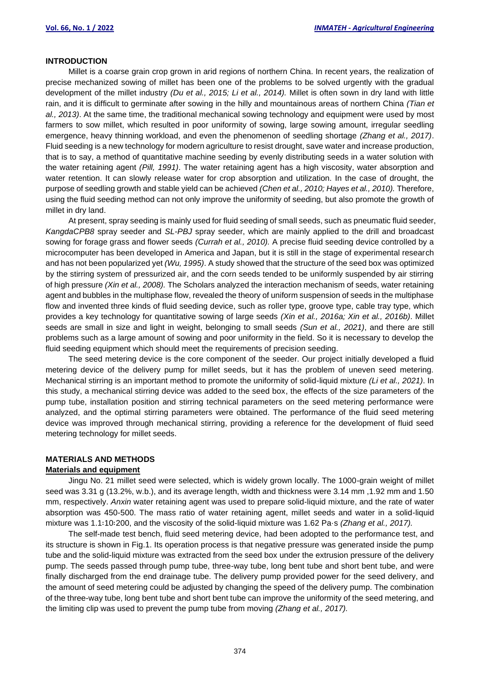#### **INTRODUCTION**

Millet is a coarse grain crop grown in arid regions of northern China. In recent years, the realization of precise mechanized sowing of millet has been one of the problems to be solved urgently with the gradual development of the millet industry *(Du et al., 2015; Li et al., 2014).* Millet is often sown in dry land with little rain, and it is difficult to germinate after sowing in the hilly and mountainous areas of northern China *(Tian et al., 2013)*. At the same time, the traditional mechanical sowing technology and equipment were used by most farmers to sow millet, which resulted in poor uniformity of sowing, large sowing amount, irregular seedling emergence, heavy thinning workload, and even the phenomenon of seedling shortage *(Zhang et al., 2017)*. Fluid seeding is a new technology for modern agriculture to resist drought, save water and increase production, that is to say, a method of quantitative machine seeding by evenly distributing seeds in a water solution with the water retaining agent *(Pill, 1991)*. The water retaining agent has a high viscosity, water absorption and water retention. It can slowly release water for crop absorption and utilization. In the case of drought, the purpose of seedling growth and stable yield can be achieved *(Chen et al., 2010; Hayes et al., 2010).* Therefore, using the fluid seeding method can not only improve the uniformity of seeding, but also promote the growth of millet in dry land.

At present, spray seeding is mainly used for fluid seeding of small seeds, such as pneumatic fluid seeder, *KangdaCPB8* spray seeder and *SL-PBJ* spray seeder, which are mainly applied to the drill and broadcast sowing for forage grass and flower seeds *(Currah et al., 2010).* A precise fluid seeding device controlled by a microcomputer has been developed in America and Japan, but it is still in the stage of experimental research and has not been popularized yet *(Wu, 1995)*. A study showed that the structure of the seed box was optimized by the stirring system of pressurized air, and the corn seeds tended to be uniformly suspended by air stirring of high pressure *(Xin et al., 2008).* The Scholars analyzed the interaction mechanism of seeds, water retaining agent and bubbles in the multiphase flow, revealed the theory of uniform suspension of seeds in the multiphase flow and invented three kinds of fluid seeding device, such as roller type, groove type, cable tray type, which provides a key technology for quantitative sowing of large seeds *(Xin et al., 2016a; Xin et al., 2016b)*. Millet seeds are small in size and light in weight, belonging to small seeds *(Sun et al., 2021)*, and there are still problems such as a large amount of sowing and poor uniformity in the field. So it is necessary to develop the fluid seeding equipment which should meet the requirements of precision seeding.

The seed metering device is the core component of the seeder. Our project initially developed a fluid metering device of the delivery pump for millet seeds, but it has the problem of uneven seed metering. Mechanical stirring is an important method to promote the uniformity of solid-liquid mixture *(Li et al., 2021)*. In this study, a mechanical stirring device was added to the seed box, the effects of the size parameters of the pump tube, installation position and stirring technical parameters on the seed metering performance were analyzed, and the optimal stirring parameters were obtained. The performance of the fluid seed metering device was improved through mechanical stirring, providing a reference for the development of fluid seed metering technology for millet seeds.

#### **MATERIALS AND METHODS**

#### **Materials and equipment**

Jingu No. 21 millet seed were selected, which is widely grown locally. The 1000-grain weight of millet seed was 3.31 g (13.2%, w.b.), and its average length, width and thickness were 3.14 mm ,1.92 mm and 1.50 mm, respectively. *Anxin* water retaining agent was used to prepare solid-liquid mixture, and the rate of water absorption was 450-500. The mass ratio of water retaining agent, millet seeds and water in a solid-liquid mixture was 1.1∶10∶200, and the viscosity of the solid-liquid mixture was 1.62 Pa·s *(Zhang et al., 2017).*

The self-made test bench, fluid seed metering device, had been adopted to the performance test, and its structure is shown in Fig.1. Its operation process is that negative pressure was generated inside the pump tube and the solid-liquid mixture was extracted from the seed box under the extrusion pressure of the delivery pump. The seeds passed through pump tube, three-way tube, long bent tube and short bent tube, and were finally discharged from the end drainage tube. The delivery pump provided power for the seed delivery, and the amount of seed metering could be adjusted by changing the speed of the delivery pump. The combination of the three-way tube, long bent tube and short bent tube can improve the uniformity of the seed metering, and the limiting clip was used to prevent the pump tube from moving *(Zhang et al., 2017).*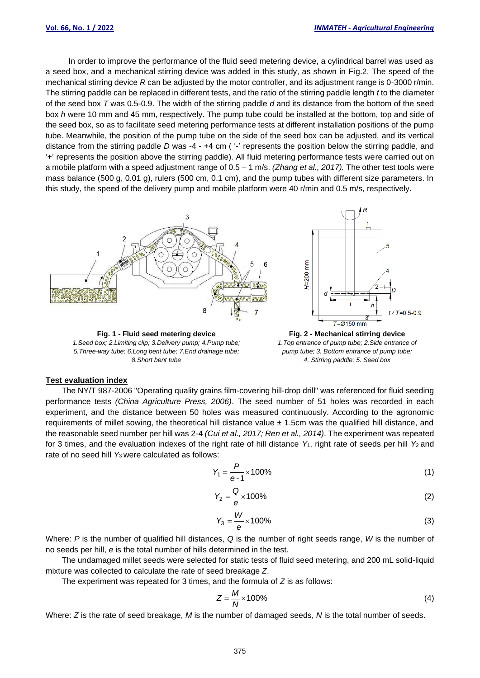In order to improve the performance of the fluid seed metering device, a cylindrical barrel was used as a seed box, and a mechanical stirring device was added in this study, as shown in Fig.2. The speed of the mechanical stirring device *R* can be adjusted by the motor controller, and its adjustment range is 0-3000 r/min. The stirring paddle can be replaced in different tests, and the ratio of the stirring paddle length *t* to the diameter of the seed box *T* was 0.5-0.9. The width of the stirring paddle *d* and its distance from the bottom of the seed box *h* were 10 mm and 45 mm, respectively. The pump tube could be installed at the bottom, top and side of the seed box, so as to facilitate seed metering performance tests at different installation positions of the pump tube. Meanwhile, the position of the pump tube on the side of the seed box can be adjusted, and its vertical distance from the stirring paddle *D* was -4 - +4 cm ( $-$ ' represents the position below the stirring paddle, and '+' represents the position above the stirring paddle). All fluid metering performance tests were carried out on a mobile platform with a speed adjustment range of 0.5 – 1 m/s. *(Zhang et al., 2017).* The other test tools were mass balance (500 g, 0.01 g), rulers (500 cm, 0.1 cm), and the pump tubes with different size parameters. In this study, the speed of the delivery pump and mobile platform were 40 r/min and 0.5 m/s, respectively.



*1.Seed box; 2.Limiting clip; 3.Delivery pump; 4.Pump tube; 5.Three-way tube; 6.Long bent tube; 7.End drainage tube; 8.Short bent tube*

*1.Top entrance of pump tube; 2.Side entrance of pump tube; 3. Bottom entrance of pump tube; 4. Stirring paddle; 5. Seed box*

#### **Test evaluation index**

The NY/T 987-2006 "Operating quality grains film-covering hill-drop drill" was referenced for fluid seeding performance tests *(China Agriculture Press, 2006)*. The seed number of 51 holes was recorded in each experiment, and the distance between 50 holes was measured continuously. According to the agronomic requirements of millet sowing, the theoretical hill distance value  $\pm$  1.5cm was the qualified hill distance, and the reasonable seed number per hill was 2-4 *(Cui et al., 2017; Ren et al., 2014)*. The experiment was repeated for 3 times, and the evaluation indexes of the right rate of hill distance Y<sub>1</sub>, right rate of seeds per hill Y<sub>2</sub> and rate of no seed hill Y<sub>3</sub> were calculated as follows:

$$
Y_1 = \frac{P}{e-1} \times 100\% \tag{1}
$$

$$
Y_2 = \frac{Q}{e} \times 100\% \tag{2}
$$

$$
Y_3 = \frac{W}{e} \times 100\% \tag{3}
$$

Where: *P* is the number of qualified hill distances, *Q* is the number of right seeds range, *W* is the number of no seeds per hill, *e* is the total number of hills determined in the test.

The undamaged millet seeds were selected for static tests of fluid seed metering, and 200 mL solid-liquid mixture was collected to calculate the rate of seed breakage *Z*.

The experiment was repeated for 3 times, and the formula of *Z* is as follows:

$$
Z = \frac{M}{N} \times 100\% \tag{4}
$$

Where: *Z* is the rate of seed breakage, *M* is the number of damaged seeds, *N* is the total number of seeds.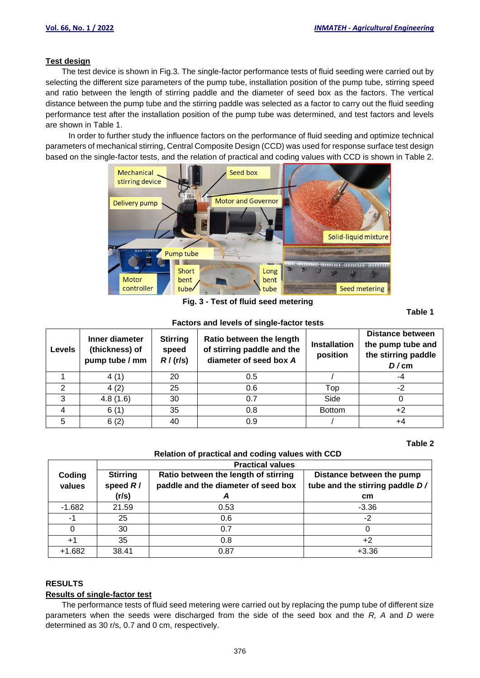### **Test design**

The test device is shown in Fig.3. The single-factor performance tests of fluid seeding were carried out by selecting the different size parameters of the pump tube, installation position of the pump tube, stirring speed and ratio between the length of stirring paddle and the diameter of seed box as the factors. The vertical distance between the pump tube and the stirring paddle was selected as a factor to carry out the fluid seeding performance test after the installation position of the pump tube was determined, and test factors and levels are shown in Table 1.

In order to further study the influence factors on the performance of fluid seeding and optimize technical parameters of mechanical stirring, Central Composite Design (CCD) was used for response surface test design based on the single-factor tests, and the relation of practical and coding values with CCD is shown in Table 2.



**Fig. 3 - Test of fluid seed metering** 

**Table 1** 

| <b>Factors and levels of single-factor tests</b> |                                                                                           |    |                                                                                  |                                 |                                                                      |  |  |  |
|--------------------------------------------------|-------------------------------------------------------------------------------------------|----|----------------------------------------------------------------------------------|---------------------------------|----------------------------------------------------------------------|--|--|--|
| <b>Levels</b>                                    | <b>Stirring</b><br>Inner diameter<br>(thickness) of<br>speed<br>R/(r/s)<br>pump tube / mm |    | Ratio between the length<br>of stirring paddle and the<br>diameter of seed box A | <b>Installation</b><br>position | Distance between<br>the pump tube and<br>the stirring paddle<br>D/cm |  |  |  |
|                                                  | 4(1)                                                                                      | 20 | 0.5                                                                              |                                 | -4                                                                   |  |  |  |
|                                                  | 4(2)                                                                                      | 25 | 0.6                                                                              | Top                             | $-2$                                                                 |  |  |  |
| 3                                                | 4.8(1.6)                                                                                  | 30 | 0.7                                                                              | Side                            |                                                                      |  |  |  |
|                                                  | 6(1)                                                                                      | 35 | 0.8                                                                              | <b>Bottom</b>                   | +2                                                                   |  |  |  |
| 5                                                | 6(2)                                                                                      | 40 | 0.9                                                                              |                                 | $+4$                                                                 |  |  |  |

#### **Table 2**

#### **Relation of practical and coding values with CCD**

|                  | <b>Practical values</b>                                                                                      |      |                                                              |  |  |  |  |  |
|------------------|--------------------------------------------------------------------------------------------------------------|------|--------------------------------------------------------------|--|--|--|--|--|
| Coding<br>values | <b>Stirring</b><br>Ratio between the length of stirring<br>speed $R/$<br>paddle and the diameter of seed box |      | Distance between the pump<br>tube and the stirring paddle D/ |  |  |  |  |  |
|                  | (r/s)                                                                                                        | A    | cm                                                           |  |  |  |  |  |
| $-1.682$         | 21.59                                                                                                        | 0.53 | $-3.36$                                                      |  |  |  |  |  |
| -1               | 25                                                                                                           | 0.6  | $-2$                                                         |  |  |  |  |  |
|                  | 30                                                                                                           | 0.7  |                                                              |  |  |  |  |  |
| $+1$             | 35                                                                                                           | 0.8  | $+2$                                                         |  |  |  |  |  |
| $+1.682$         | 38.41                                                                                                        | 0.87 | $+3.36$                                                      |  |  |  |  |  |

### **RESULTS**

### **Results of single-factor test**

The performance tests of fluid seed metering were carried out by replacing the pump tube of different size parameters when the seeds were discharged from the side of the seed box and the *R, A* and *D* were determined as 30 r/s, 0.7 and 0 cm, respectively.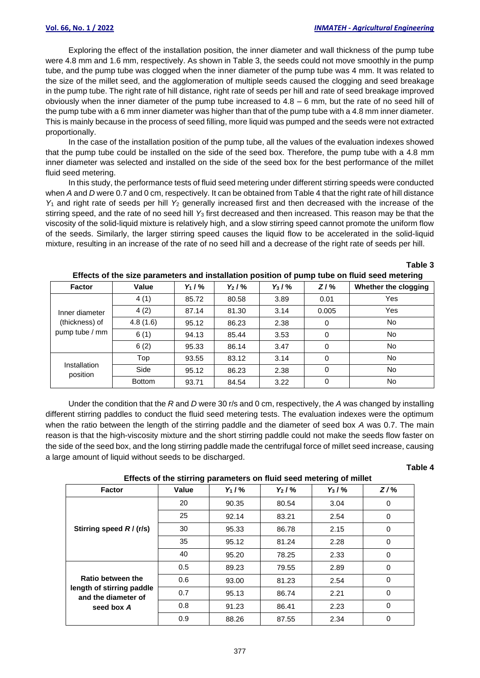Exploring the effect of the installation position, the inner diameter and wall thickness of the pump tube were 4.8 mm and 1.6 mm, respectively. As shown in Table 3, the seeds could not move smoothly in the pump tube, and the pump tube was clogged when the inner diameter of the pump tube was 4 mm. It was related to the size of the millet seed, and the agglomeration of multiple seeds caused the clogging and seed breakage in the pump tube. The right rate of hill distance, right rate of seeds per hill and rate of seed breakage improved obviously when the inner diameter of the pump tube increased to  $4.8 - 6$  mm, but the rate of no seed hill of the pump tube with a 6 mm inner diameter was higher than that of the pump tube with a 4.8 mm inner diameter. This is mainly because in the process of seed filling, more liquid was pumped and the seeds were not extracted proportionally.

In the case of the installation position of the pump tube, all the values of the evaluation indexes showed that the pump tube could be installed on the side of the seed box. Therefore, the pump tube with a 4.8 mm inner diameter was selected and installed on the side of the seed box for the best performance of the millet fluid seed metering.

In this study, the performance tests of fluid seed metering under different stirring speeds were conducted when *A* and *D* were 0.7 and 0 cm, respectively. It can be obtained from Table 4 that the right rate of hill distance *Y*<sup>1</sup> and right rate of seeds per hill *Y*<sup>2</sup> generally increased first and then decreased with the increase of the stirring speed, and the rate of no seed hill *Y*<sup>3</sup> first decreased and then increased. This reason may be that the viscosity of the solid-liquid mixture is relatively high, and a slow stirring speed cannot promote the uniform flow of the seeds. Similarly, the larger stirring speed causes the liquid flow to be accelerated in the solid-liquid mixture, resulting in an increase of the rate of no seed hill and a decrease of the right rate of seeds per hill.

| <b>Factor</b>            | Value         | $Y_1 / Y_0$ | $Y_2/Y_0$ | $Y_3 / V_0$ | $Z/$ % | Whether the clogging |
|--------------------------|---------------|-------------|-----------|-------------|--------|----------------------|
|                          | 4(1)          | 85.72       | 80.58     | 3.89        | 0.01   | Yes                  |
| Inner diameter           | 4(2)          | 87.14       | 81.30     | 3.14        | 0.005  | Yes                  |
| (thickness) of           | 4.8(1.6)      | 95.12       | 86.23     | 2.38        | 0      | <b>No</b>            |
| pump tube / mm           | 6(1)          | 94.13       | 85.44     | 3.53        | 0      | <b>No</b>            |
|                          | 6(2)          | 95.33       | 86.14     | 3.47        | 0      | <b>No</b>            |
|                          | Top           | 93.55       | 83.12     | 3.14        | 0      | <b>No</b>            |
| Installation<br>position | Side          | 95.12       | 86.23     | 2.38        | 0      | <b>No</b>            |
|                          | <b>Bottom</b> | 93.71       | 84.54     | 3.22        | 0      | No                   |

#### **Effects of the size parameters and installation position of pump tube on fluid seed metering**

Under the condition that the *R* and *D* were 30 r/s and 0 cm, respectively, the *A* was changed by installing different stirring paddles to conduct the fluid seed metering tests. The evaluation indexes were the optimum when the ratio between the length of the stirring paddle and the diameter of seed box *A* was 0.7. The main reason is that the high-viscosity mixture and the short stirring paddle could not make the seeds flow faster on the side of the seed box, and the long stirring paddle made the centrifugal force of millet seed increase, causing a large amount of liquid without seeds to be discharged.

#### **Table 4**

**Table 3**

| Effects of the stirring parameters on fluid seed metering of millet |       |             |             |           |        |  |  |  |
|---------------------------------------------------------------------|-------|-------------|-------------|-----------|--------|--|--|--|
| <b>Factor</b>                                                       | Value | $Y_1 / Y_0$ | $Y_2 / Y_0$ | $Y_3 / %$ | $Z/\%$ |  |  |  |
|                                                                     | 20    | 90.35       | 80.54       | 3.04      | 0      |  |  |  |
|                                                                     | 25    | 92.14       | 83.21       | 2.54      | 0      |  |  |  |
| Stirring speed R/(r/s)                                              | 30    | 95.33       | 86.78       | 2.15      | 0      |  |  |  |
|                                                                     | 35    | 95.12       | 81.24       | 2.28      | 0      |  |  |  |
|                                                                     | 40    | 95.20       | 78.25       | 2.33      | 0      |  |  |  |
|                                                                     | 0.5   | 89.23       | 79.55       | 2.89      | 0      |  |  |  |
| Ratio between the                                                   | 0.6   | 93.00       | 81.23       | 2.54      | 0      |  |  |  |
| length of stirring paddle<br>and the diameter of                    | 0.7   | 95.13       | 86.74       | 2.21      | 0      |  |  |  |
| seed box A                                                          | 0.8   | 91.23       | 86.41       | 2.23      | 0      |  |  |  |
|                                                                     | 0.9   | 88.26       | 87.55       | 2.34      | 0      |  |  |  |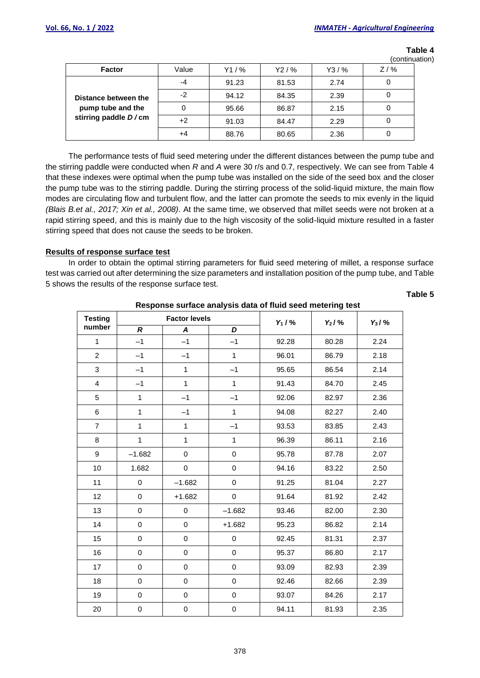|                      |       |         |        |         | (continuation) |  |
|----------------------|-------|---------|--------|---------|----------------|--|
| <b>Factor</b>        | Value | $Y1/$ % | Y2 / % | $Y3/$ % | $Z/$ %         |  |
|                      | -4    | 91.23   | 81.53  | 2.74    |                |  |
| Distance between the | -2    | 94.12   | 84.35  | 2.39    |                |  |
| pump tube and the    |       | 95.66   | 86.87  | 2.15    |                |  |
| stirring paddle D/cm | +2    | 91.03   | 84.47  | 2.29    |                |  |
|                      | +4    | 88.76   | 80.65  | 2.36    |                |  |

**Table 4**

The performance tests of fluid seed metering under the different distances between the pump tube and the stirring paddle were conducted when *R* and *A* were 30 r/s and 0.7, respectively. We can see from Table 4 that these indexes were optimal when the pump tube was installed on the side of the seed box and the closer the pump tube was to the stirring paddle. During the stirring process of the solid-liquid mixture, the main flow modes are circulating flow and turbulent flow, and the latter can promote the seeds to mix evenly in the liquid *(Blais B.et al., 2017; Xin et al., 2008)*. At the same time, we observed that millet seeds were not broken at a rapid stirring speed, and this is mainly due to the high viscosity of the solid-liquid mixture resulted in a faster stirring speed that does not cause the seeds to be broken.

## **Results of response surface test**

In order to obtain the optimal stirring parameters for fluid seed metering of millet, a response surface test was carried out after determining the size parameters and installation position of the pump tube, and Table 5 shows the results of the response surface test.

**Table 5** 

| <b>Testing</b>   |                  | <b>Factor levels</b> |              | $Y_1 / Y_0$ | $Y_2/Y_0$ | $Y_3/Y_0$ |
|------------------|------------------|----------------------|--------------|-------------|-----------|-----------|
| number           | $\boldsymbol{R}$ | A                    | D            |             |           |           |
| $\mathbf{1}$     | $-1$             | $-1$                 | $-1$         | 92.28       | 80.28     | 2.24      |
| $\overline{2}$   | $-1$             | $-1$                 | $\mathbf{1}$ | 96.01       | 86.79     | 2.18      |
| 3                | $-1$             | $\mathbf{1}$         | $-1$         | 95.65       | 86.54     | 2.14      |
| $\overline{4}$   | $-1$             | $\mathbf{1}$         | $\mathbf{1}$ | 91.43       | 84.70     | 2.45      |
| $\sqrt{5}$       | $\mathbf{1}$     | $-1$                 | $-1$         | 92.06       | 82.97     | 2.36      |
| $\,6\,$          | $\mathbf{1}$     | $-1$                 | $\mathbf{1}$ | 94.08       | 82.27     | 2.40      |
| $\overline{7}$   | $\mathbf{1}$     | $\mathbf{1}$         | $-1$         | 93.53       | 83.85     | 2.43      |
| $\,8\,$          | $\mathbf{1}$     | $\mathbf{1}$         | $\mathbf{1}$ | 96.39       | 86.11     | 2.16      |
| $\boldsymbol{9}$ | $-1.682$         | 0                    | $\mathsf 0$  | 95.78       | 87.78     | 2.07      |
| 10               | 1.682            | $\pmb{0}$            | 0            | 94.16       | 83.22     | 2.50      |
| 11               | $\mathbf 0$      | $-1.682$             | $\pmb{0}$    | 91.25       | 81.04     | 2.27      |
| 12               | $\pmb{0}$        | $+1.682$             | 0            | 91.64       | 81.92     | 2.42      |
| 13               | $\pmb{0}$        | $\mathsf 0$          | $-1.682$     | 93.46       | 82.00     | 2.30      |
| 14               | $\pmb{0}$        | $\pmb{0}$            | $+1.682$     | 95.23       | 86.82     | 2.14      |
| 15               | $\pmb{0}$        | 0                    | $\pmb{0}$    | 92.45       | 81.31     | 2.37      |
| 16               | $\pmb{0}$        | $\pmb{0}$            | $\pmb{0}$    | 95.37       | 86.80     | 2.17      |
| 17               | $\pmb{0}$        | $\pmb{0}$            | $\pmb{0}$    | 93.09       | 82.93     | 2.39      |
| 18               | $\pmb{0}$        | $\mathbf 0$          | $\pmb{0}$    | 92.46       | 82.66     | 2.39      |
| 19               | 0                | $\pmb{0}$            | $\pmb{0}$    | 93.07       | 84.26     | 2.17      |
| 20               | $\pmb{0}$        | $\mathsf 0$          | $\mathsf 0$  | 94.11       | 81.93     | 2.35      |

# **Response surface analysis data of fluid seed metering test**

378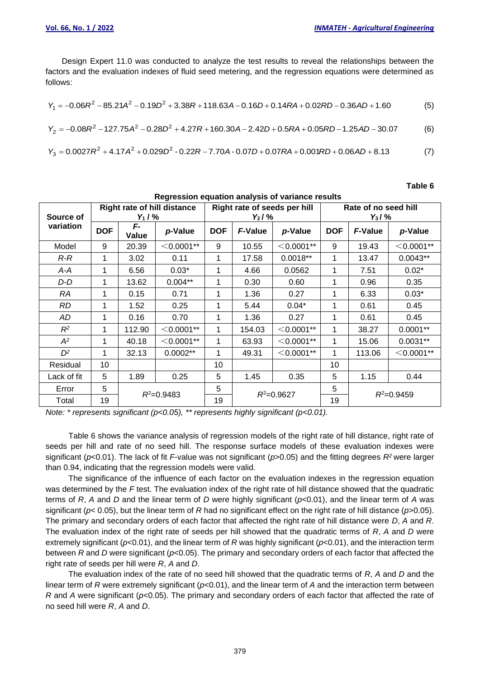Design Expert 11.0 was conducted to analyze the test results to reveal the relationships between the factors and the evaluation indexes of fluid seed metering, and the regression equations were determined as follows:

$$
Y_1 = -0.06R^2 - 85.21A^2 - 0.19D^2 + 3.38R + 118.63A - 0.16D + 0.14RA + 0.02RD - 0.36AD + 1.60
$$
 (5)

$$
Y_2 = -0.08R^2 - 127.75A^2 - 0.28D^2 + 4.27R + 160.30A - 2.42D + 0.5RA + 0.05RD - 1.25AD - 30.07
$$
 (6)

$$
Y_3 = 0.0027R^2 + 4.17A^2 + 0.029D^2 - 0.22R - 7.70A - 0.07D + 0.07RA + 0.001RD + 0.06AD + 8.13
$$
 (7)

# **Table 6**

| Regression equation analysis of variance results |                                                   |             |                |                                           |                |              |                                   |                |              |
|--------------------------------------------------|---------------------------------------------------|-------------|----------------|-------------------------------------------|----------------|--------------|-----------------------------------|----------------|--------------|
| Source of<br>variation                           | <b>Right rate of hill distance</b><br>$Y_1 / Y_0$ |             |                | Right rate of seeds per hill<br>$Y_2 / %$ |                |              | Rate of no seed hill<br>$Y_3/Y_0$ |                |              |
|                                                  | <b>DOF</b>                                        | F-<br>Value | p-Value        | <b>DOF</b>                                | <b>F-Value</b> | p-Value      | <b>DOF</b>                        | <b>F-Value</b> | p-Value      |
| Model                                            | 9                                                 | 20.39       | $<$ 0.0001**   | 9                                         | 10.55          | $<$ 0.0001** | 9                                 | 19.43          | $<$ 0.0001** |
| R-R                                              | 1                                                 | 3.02        | 0.11           | 1                                         | 17.58          | $0.0018**$   | 1                                 | 13.47          | $0.0043**$   |
| A-A                                              | 1                                                 | 6.56        | $0.03*$        | 1                                         | 4.66           | 0.0562       | 1                                 | 7.51           | $0.02*$      |
| D-D                                              | 1                                                 | 13.62       | $0.004**$      | 1                                         | 0.30           | 0.60         | 1                                 | 0.96           | 0.35         |
| RA                                               | 1                                                 | 0.15        | 0.71           | 1                                         | 1.36           | 0.27         | 1                                 | 6.33           | $0.03*$      |
| RD.                                              | 1                                                 | 1.52        | 0.25           | 1                                         | 5.44           | $0.04*$      |                                   | 0.61           | 0.45         |
| AD                                               | 1                                                 | 0.16        | 0.70           | 1                                         | 1.36           | 0.27         |                                   | 0.61           | 0.45         |
| $R^2$                                            | 1                                                 | 112.90      | $<$ 0.0001**   | 1                                         | 154.03         | $<$ 0.0001** | 1                                 | 38.27          | $0.0001**$   |
| $A^2$                                            | 1                                                 | 40.18       | $<$ 0.0001**   | 1                                         | 63.93          | $<$ 0.0001** | 1                                 | 15.06          | $0.0031**$   |
| $D^2$                                            | 1                                                 | 32.13       | $0.0002**$     | 1                                         | 49.31          | $<$ 0.0001** | 1                                 | 113.06         | $<$ 0.0001** |
| Residual                                         | 10                                                |             |                | 10                                        |                |              | 10                                |                |              |
| Lack of fit                                      | 5                                                 | 1.89        | 0.25           | 5                                         | 1.45           | 0.35         | 5                                 | 1.15           | 0.44         |
| Error                                            | 5                                                 |             | $R^2 = 0.9483$ | 5                                         |                |              | 5                                 |                |              |
| Total                                            | 19                                                |             |                | 19                                        | $R^2 = 0.9627$ |              | 19                                | $R^2 = 0.9459$ |              |

*Note: \* represents significant (p<0.05), \*\* represents highly significant (p<0.01).*

Table 6 shows the variance analysis of regression models of the right rate of hill distance, right rate of seeds per hill and rate of no seed hill. The response surface models of these evaluation indexes were significant (*p*<0.01). The lack of fit *F*-value was not significant (*p*>0.05) and the fitting degrees *R<sup>2</sup>* were larger than 0.94, indicating that the regression models were valid.

The significance of the influence of each factor on the evaluation indexes in the regression equation was determined by the *F* test. The evaluation index of the right rate of hill distance showed that the quadratic terms of *R*, *A* and *D* and the linear term of *D* were highly significant (*p*<0.01), and the linear term of *A* was significant (*p*< 0.05), but the linear term of *R* had no significant effect on the right rate of hill distance (*p*>0.05). The primary and secondary orders of each factor that affected the right rate of hill distance were *D*, *A* and *R*. The evaluation index of the right rate of seeds per hill showed that the quadratic terms of *R*, *A* and *D* were extremely significant (*p*<0.01), and the linear term of *R* was highly significant (*p*<0.01), and the interaction term between *R* and *D* were significant (*p*<0.05). The primary and secondary orders of each factor that affected the right rate of seeds per hill were *R*, *A* and *D*.

The evaluation index of the rate of no seed hill showed that the quadratic terms of *R*, *A* and *D* and the linear term of *R* were extremely significant (*p*<0.01), and the linear term of *A* and the interaction term between *R* and *A* were significant ( $p$ <0.05). The primary and secondary orders of each factor that affected the rate of no seed hill were *R*, *A* and *D*.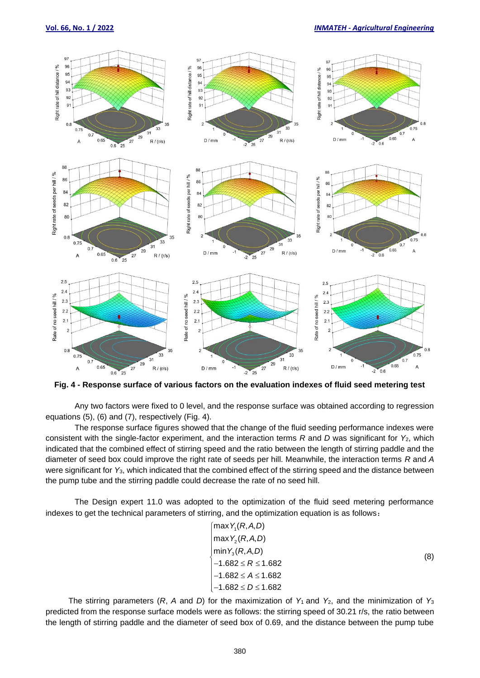#### **Vol. 66, No. 1 / 2022** *INMATEH - Agricultural Engineering*



**Fig. 4 - Response surface of various factors on the evaluation indexes of fluid seed metering test**

Any two factors were fixed to 0 level, and the response surface was obtained according to regression equations (5), (6) and (7), respectively (Fig. 4).

The response surface figures showed that the change of the fluid seeding performance indexes were consistent with the single-factor experiment, and the interaction terms *R* and *D* was significant for *Y*2, which indicated that the combined effect of stirring speed and the ratio between the length of stirring paddle and the diameter of seed box could improve the right rate of seeds per hill. Meanwhile, the interaction terms *R* and *A* were significant for *Y*3, which indicated that the combined effect of the stirring speed and the distance between the pump tube and the stirring paddle could decrease the rate of no seed hill.

The Design expert 11.0 was adopted to the optimization of the fluid seed metering performance indexes to get the technical parameters of stirring, and the optimization equation is as follows:

$$
\begin{cases}\n\max Y_1(R, A, D) \\
\max Y_2(R, A, D) \\
\min Y_3(R, A, D) \\
-1.682 \le R \le 1.682 \\
-1.682 \le A \le 1.682 \\
-1.682 \le D \le 1.682\n\end{cases}
$$
\n(8)

The stirring parameters  $(R, A \text{ and } D)$  for the maximization of  $Y_1$  and  $Y_2$ , and the minimization of  $Y_3$ predicted from the response surface models were as follows: the stirring speed of 30.21 r/s, the ratio between the length of stirring paddle and the diameter of seed box of 0.69, and the distance between the pump tube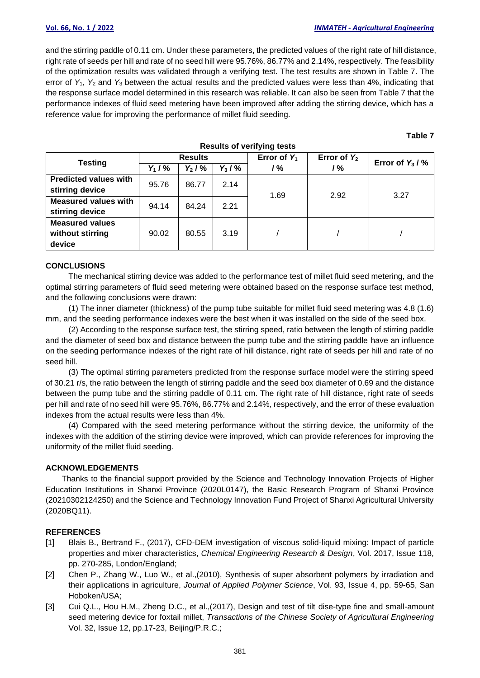# **Vol. 66, No. 1 / 2022** *INMATEH - Agricultural Engineering*

and the stirring paddle of 0.11 cm. Under these parameters, the predicted values of the right rate of hill distance, right rate of seeds per hill and rate of no seed hill were 95.76%, 86.77% and 2.14%, respectively. The feasibility of the optimization results was validated through a verifying test. The test results are shown in Table 7. The error of *Y*1, *Y*<sup>2</sup> and *Y*<sup>3</sup> between the actual results and the predicted values were less than 4%, indicating that the response surface model determined in this research was reliable. It can also be seen from Table 7 that the performance indexes of fluid seed metering have been improved after adding the stirring device, which has a reference value for improving the performance of millet fluid seeding.

#### **Table 7**

| <b>Testing</b>               | <b>Results</b> |             |           | Error of $Y_1$ | Error of $Y_2$ | Error of $Y_3 / N_0$ |  |
|------------------------------|----------------|-------------|-----------|----------------|----------------|----------------------|--|
|                              | $Y_1 / Y_0$    | $Y_2 / V_0$ | $Y_3/Y_0$ | /%             | /%             |                      |  |
| <b>Predicted values with</b> | 95.76          | 86.77       | 2.14      |                |                |                      |  |
| stirring device              |                |             |           | 1.69           | 2.92           | 3.27                 |  |
| <b>Measured values with</b>  | 94.14          | 84.24       | 2.21      |                |                |                      |  |
| stirring device              |                |             |           |                |                |                      |  |
| <b>Measured values</b>       |                |             |           |                |                |                      |  |
| without stirring             | 90.02          | 80.55       | 3.19      |                |                |                      |  |
| device                       |                |             |           |                |                |                      |  |

#### **Results of verifying tests**

#### **CONCLUSIONS**

The mechanical stirring device was added to the performance test of millet fluid seed metering, and the optimal stirring parameters of fluid seed metering were obtained based on the response surface test method, and the following conclusions were drawn:

(1) The inner diameter (thickness) of the pump tube suitable for millet fluid seed metering was 4.8 (1.6) mm, and the seeding performance indexes were the best when it was installed on the side of the seed box.

(2) According to the response surface test, the stirring speed, ratio between the length of stirring paddle and the diameter of seed box and distance between the pump tube and the stirring paddle have an influence on the seeding performance indexes of the right rate of hill distance, right rate of seeds per hill and rate of no seed hill.

(3) The optimal stirring parameters predicted from the response surface model were the stirring speed of 30.21 r/s, the ratio between the length of stirring paddle and the seed box diameter of 0.69 and the distance between the pump tube and the stirring paddle of 0.11 cm. The right rate of hill distance, right rate of seeds per hill and rate of no seed hill were 95.76%, 86.77% and 2.14%, respectively, and the error of these evaluation indexes from the actual results were less than 4%.

(4) Compared with the seed metering performance without the stirring device, the uniformity of the indexes with the addition of the stirring device were improved, which can provide references for improving the uniformity of the millet fluid seeding.

### **ACKNOWLEDGEMENTS**

Thanks to the financial support provided by the Science and Technology Innovation Projects of Higher Education Institutions in Shanxi Province (2020L0147), the Basic Research Program of Shanxi Province (20210302124250) and the Science and Technology Innovation Fund Project of Shanxi Agricultural University (2020BQ11).

### **REFERENCES**

- [1] Blais B., Bertrand F., (2017), CFD-DEM investigation of viscous solid-liquid mixing: Impact of particle properties and mixer characteristics, *Chemical Engineering Research & Design*, Vol. 2017, Issue 118, pp. 270-285, London/England;
- [2] Chen P., Zhang W., Luo W., et al.,(2010), Synthesis of super absorbent polymers by irradiation and their applications in agriculture, *Journal of Applied Polymer Science*, Vol. 93, Issue 4, pp. 59-65, San Hoboken/USA;
- [3] Cui Q.L., Hou H.M., Zheng D.C., et al.,(2017), Design and test of tilt dise-type fine and small-amount seed metering device for foxtail millet, *Transactions of the Chinese Society of Agricultural Engineering* Vol. 32, Issue 12, pp.17-23, Beijing/P.R.C.;